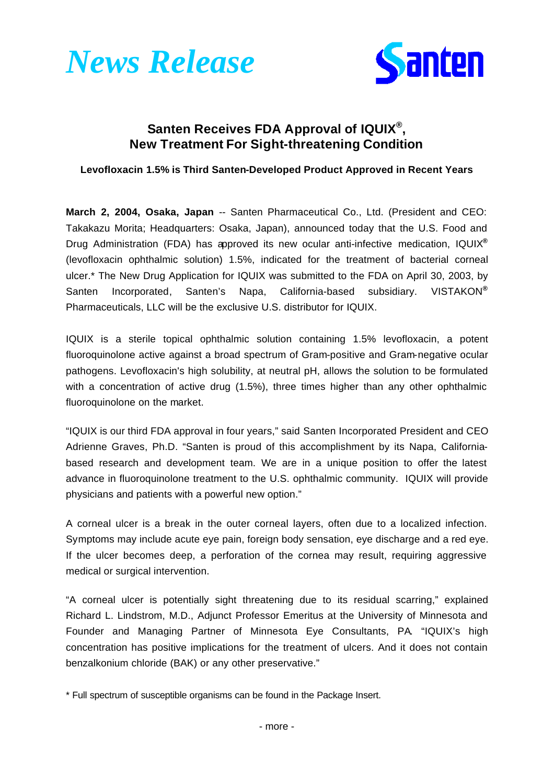



## **Santen Receives FDA Approval of IQUIX® , New Treatment For Sight-threatening Condition**

**Levofloxacin 1.5% is Third Santen-Developed Product Approved in Recent Years**

**March 2, 2004, Osaka, Japan** -- Santen Pharmaceutical Co., Ltd. (President and CEO: Takakazu Morita; Headquarters: Osaka, Japan), announced today that the U.S. Food and Drug Administration (FDA) has approved its new ocular anti-infective medication, IQUIX**®** (levofloxacin ophthalmic solution) 1.5%, indicated for the treatment of bacterial corneal ulcer.\* The New Drug Application for IQUIX was submitted to the FDA on April 30, 2003, by Santen Incorporated, Santen's Napa, California-based subsidiary. VISTAKON**®** Pharmaceuticals, LLC will be the exclusive U.S. distributor for IQUIX.

IQUIX is a sterile topical ophthalmic solution containing 1.5% levofloxacin, a potent fluoroquinolone active against a broad spectrum of Gram-positive and Gram-negative ocular pathogens. Levofloxacin's high solubility, at neutral pH, allows the solution to be formulated with a concentration of active drug (1.5%), three times higher than any other ophthalmic fluoroquinolone on the market.

"IQUIX is our third FDA approval in four years," said Santen Incorporated President and CEO Adrienne Graves, Ph.D. "Santen is proud of this accomplishment by its Napa, Californiabased research and development team. We are in a unique position to offer the latest advance in fluoroquinolone treatment to the U.S. ophthalmic community. IQUIX will provide physicians and patients with a powerful new option."

A corneal ulcer is a break in the outer corneal layers, often due to a localized infection. Symptoms may include acute eye pain, foreign body sensation, eye discharge and a red eye. If the ulcer becomes deep, a perforation of the cornea may result, requiring aggressive medical or surgical intervention.

"A corneal ulcer is potentially sight threatening due to its residual scarring," explained Richard L. Lindstrom, M.D., Adjunct Professor Emeritus at the University of Minnesota and Founder and Managing Partner of Minnesota Eye Consultants, PA. "IQUIX's high concentration has positive implications for the treatment of ulcers. And it does not contain benzalkonium chloride (BAK) or any other preservative."

\* Full spectrum of susceptible organisms can be found in the Package Insert.